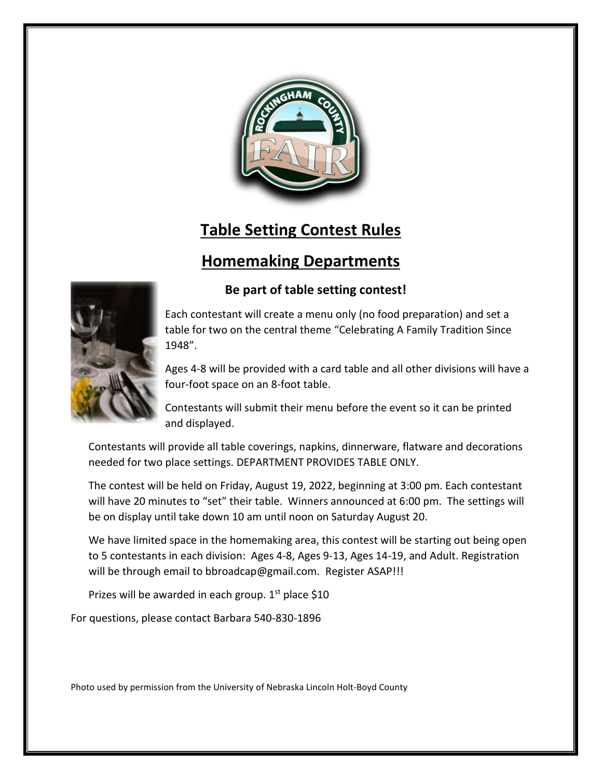

# **Table Setting Contest Rules**

## **Homemaking Departments**



#### **Be part of table setting contest!**

Each contestant will create a menu only (no food preparation) and set a table for two on the central theme "Celebrating A Family Tradition Since 1948".

Ages 4-8 will be provided with a card table and all other divisions will have a four-foot space on an 8-foot table.

Contestants will submit their menu before the event so it can be printed and displayed.

Contestants will provide all table coverings, napkins, dinnerware, flatware and decorations needed for two place settings. DEPARTMENT PROVIDES TABLE ONLY.

The contest will be held on Friday, August 19, 2022, beginning at 3:00 pm. Each contestant will have 20 minutes to "set" their table. Winners announced at 6:00 pm. The settings will be on display until take down 10 am until noon on Saturday August 20.

We have limited space in the homemaking area, this contest will be starting out being open to 5 contestants in each division: Ages 4-8, Ages 9-13, Ages 14-19, and Adult. Registration will be through email to bbroadcap@gmail.com. Register ASAP!!!

Prizes will be awarded in each group.  $1<sup>st</sup>$  place \$10

For questions, please contact Barbara 540-830-1896

Photo used by permission from the University of Nebraska Lincoln Holt-Boyd County